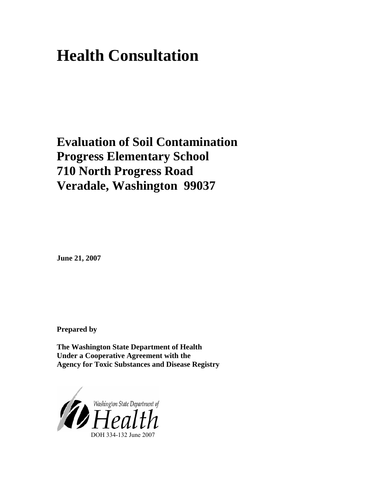# **Health Consultation**

## **Evaluation of Soil Contamination Progress Elementary School 710 North Progress Road Veradale, Washington 99037**

**June 21, 2007** 

**Prepared by** 

**The Washington State Department of Health Under a Cooperative Agreement with the Agency for Toxic Substances and Disease Registry** 

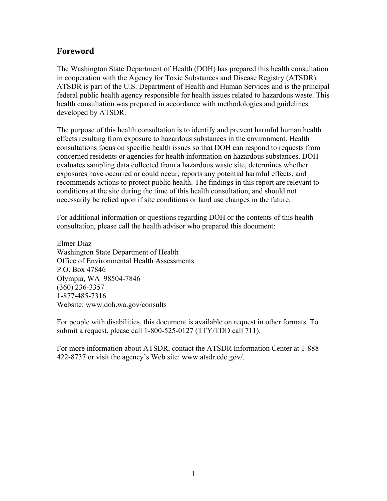## **Foreword**

The Washington State Department of Health (DOH) has prepared this health consultation in cooperation with the Agency for Toxic Substances and Disease Registry (ATSDR). ATSDR is part of the U.S. Department of Health and Human Services and is the principal federal public health agency responsible for health issues related to hazardous waste. This health consultation was prepared in accordance with methodologies and guidelines developed by ATSDR.

The purpose of this health consultation is to identify and prevent harmful human health effects resulting from exposure to hazardous substances in the environment. Health consultations focus on specific health issues so that DOH can respond to requests from concerned residents or agencies for health information on hazardous substances. DOH evaluates sampling data collected from a hazardous waste site, determines whether exposures have occurred or could occur, reports any potential harmful effects, and recommends actions to protect public health. The findings in this report are relevant to conditions at the site during the time of this health consultation, and should not necessarily be relied upon if site conditions or land use changes in the future.

For additional information or questions regarding DOH or the contents of this health consultation, please call the health advisor who prepared this document:

Elmer Diaz Washington State Department of Health Office of Environmental Health Assessments P.O. Box 47846 Olympia, WA 98504-7846 (360) 236-3357 1-877-485-7316 Website: [www.doh.wa.gov/consults](http://www.doh.wa.gov/consults)

For people with disabilities, this document is available on request in other formats. To submit a request, please call 1-800-525-0127 (TTY/TDD call 711).

For more information about ATSDR, contact the ATSDR Information Center at 1-888- 422-8737 or visit the agency's Web site: www.atsdr.cdc.gov/.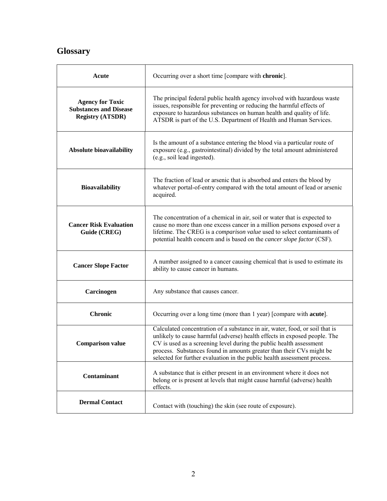## **Glossary**

| Acute                                                                               | Occurring over a short time [compare with chronic].                                                                                                                                                                                                                                                                                                                                  |
|-------------------------------------------------------------------------------------|--------------------------------------------------------------------------------------------------------------------------------------------------------------------------------------------------------------------------------------------------------------------------------------------------------------------------------------------------------------------------------------|
| <b>Agency for Toxic</b><br><b>Substances and Disease</b><br><b>Registry (ATSDR)</b> | The principal federal public health agency involved with hazardous waste<br>issues, responsible for preventing or reducing the harmful effects of<br>exposure to hazardous substances on human health and quality of life.<br>ATSDR is part of the U.S. Department of Health and Human Services.                                                                                     |
| Absolute bioavailability                                                            | Is the amount of a substance entering the blood via a particular route of<br>exposure (e.g., gastrointestinal) divided by the total amount administered<br>(e.g., soil lead ingested).                                                                                                                                                                                               |
| <b>Bioavailability</b>                                                              | The fraction of lead or arsenic that is absorbed and enters the blood by<br>whatever portal-of-entry compared with the total amount of lead or arsenic<br>acquired.                                                                                                                                                                                                                  |
| <b>Cancer Risk Evaluation</b><br>Guide (CREG)                                       | The concentration of a chemical in air, soil or water that is expected to<br>cause no more than one excess cancer in a million persons exposed over a<br>lifetime. The CREG is a comparison value used to select contaminants of<br>potential health concern and is based on the <i>cancer slope factor</i> (CSF).                                                                   |
| <b>Cancer Slope Factor</b>                                                          | A number assigned to a cancer causing chemical that is used to estimate its<br>ability to cause cancer in humans.                                                                                                                                                                                                                                                                    |
| Carcinogen                                                                          | Any substance that causes cancer.                                                                                                                                                                                                                                                                                                                                                    |
| <b>Chronic</b>                                                                      | Occurring over a long time (more than 1 year) [compare with <b>acute</b> ].                                                                                                                                                                                                                                                                                                          |
| <b>Comparison value</b>                                                             | Calculated concentration of a substance in air, water, food, or soil that is<br>unlikely to cause harmful (adverse) health effects in exposed people. The<br>CV is used as a screening level during the public health assessment<br>process. Substances found in amounts greater than their CVs might be<br>selected for further evaluation in the public health assessment process. |
| Contaminant                                                                         | A substance that is either present in an environment where it does not<br>belong or is present at levels that might cause harmful (adverse) health<br>effects.                                                                                                                                                                                                                       |
| <b>Dermal Contact</b>                                                               | Contact with (touching) the skin (see route of exposure).                                                                                                                                                                                                                                                                                                                            |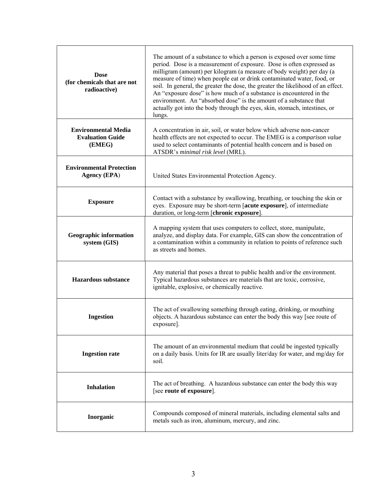| <b>Dose</b><br>(for chemicals that are not<br>radioactive)      | The amount of a substance to which a person is exposed over some time<br>period. Dose is a measurement of exposure. Dose is often expressed as<br>milligram (amount) per kilogram (a measure of body weight) per day (a<br>measure of time) when people eat or drink contaminated water, food, or<br>soil. In general, the greater the dose, the greater the likelihood of an effect.<br>An "exposure dose" is how much of a substance is encountered in the<br>environment. An "absorbed dose" is the amount of a substance that<br>actually got into the body through the eyes, skin, stomach, intestines, or<br>lungs. |  |  |  |
|-----------------------------------------------------------------|---------------------------------------------------------------------------------------------------------------------------------------------------------------------------------------------------------------------------------------------------------------------------------------------------------------------------------------------------------------------------------------------------------------------------------------------------------------------------------------------------------------------------------------------------------------------------------------------------------------------------|--|--|--|
| <b>Environmental Media</b><br><b>Evaluation Guide</b><br>(EMEG) | A concentration in air, soil, or water below which adverse non-cancer<br>health effects are not expected to occur. The EMEG is a comparison value<br>used to select contaminants of potential health concern and is based on<br>ATSDR's minimal risk level (MRL).                                                                                                                                                                                                                                                                                                                                                         |  |  |  |
| <b>Environmental Protection</b><br><b>Agency (EPA)</b>          | United States Environmental Protection Agency.                                                                                                                                                                                                                                                                                                                                                                                                                                                                                                                                                                            |  |  |  |
| <b>Exposure</b>                                                 | Contact with a substance by swallowing, breathing, or touching the skin or<br>eyes. Exposure may be short-term [acute exposure], of intermediate<br>duration, or long-term [chronic exposure].                                                                                                                                                                                                                                                                                                                                                                                                                            |  |  |  |
| <b>Geographic information</b><br>system (GIS)                   | A mapping system that uses computers to collect, store, manipulate,<br>analyze, and display data. For example, GIS can show the concentration of<br>a contamination within a community in relation to points of reference such<br>as streets and homes.                                                                                                                                                                                                                                                                                                                                                                   |  |  |  |
| <b>Hazardous</b> substance                                      | Any material that poses a threat to public health and/or the environment.<br>Typical hazardous substances are materials that are toxic, corrosive,<br>ignitable, explosive, or chemically reactive.                                                                                                                                                                                                                                                                                                                                                                                                                       |  |  |  |
| <b>Ingestion</b>                                                | The act of swallowing something through eating, drinking, or mouthing<br>objects. A hazardous substance can enter the body this way [see route of<br>exposure].                                                                                                                                                                                                                                                                                                                                                                                                                                                           |  |  |  |
| <b>Ingestion rate</b>                                           | The amount of an environmental medium that could be ingested typically<br>on a daily basis. Units for IR are usually liter/day for water, and mg/day for<br>soil.                                                                                                                                                                                                                                                                                                                                                                                                                                                         |  |  |  |
| <b>Inhalation</b>                                               | The act of breathing. A hazardous substance can enter the body this way<br>[see route of exposure].                                                                                                                                                                                                                                                                                                                                                                                                                                                                                                                       |  |  |  |
| Inorganic                                                       | Compounds composed of mineral materials, including elemental salts and<br>metals such as iron, aluminum, mercury, and zinc.                                                                                                                                                                                                                                                                                                                                                                                                                                                                                               |  |  |  |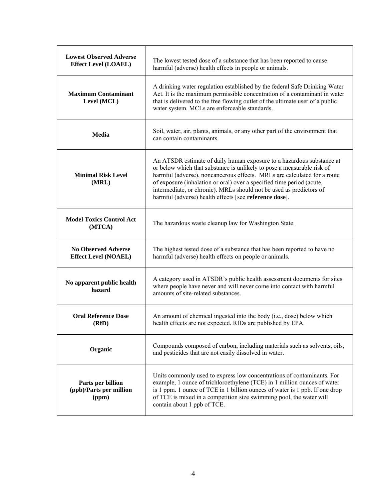| <b>Lowest Observed Adverse</b><br><b>Effect Level (LOAEL)</b> | The lowest tested dose of a substance that has been reported to cause<br>harmful (adverse) health effects in people or animals.                                                                                                                                                                                                                                                                                                       |
|---------------------------------------------------------------|---------------------------------------------------------------------------------------------------------------------------------------------------------------------------------------------------------------------------------------------------------------------------------------------------------------------------------------------------------------------------------------------------------------------------------------|
| <b>Maximum Contaminant</b><br>Level (MCL)                     | A drinking water regulation established by the federal Safe Drinking Water<br>Act. It is the maximum permissible concentration of a contaminant in water<br>that is delivered to the free flowing outlet of the ultimate user of a public<br>water system. MCLs are enforceable standards.                                                                                                                                            |
| Media                                                         | Soil, water, air, plants, animals, or any other part of the environment that<br>can contain contaminants                                                                                                                                                                                                                                                                                                                              |
| <b>Minimal Risk Level</b><br>(MRL)                            | An ATSDR estimate of daily human exposure to a hazardous substance at<br>or below which that substance is unlikely to pose a measurable risk of<br>harmful (adverse), noncancerous effects. MRLs are calculated for a route<br>of exposure (inhalation or oral) over a specified time period (acute,<br>intermediate, or chronic). MRLs should not be used as predictors of<br>harmful (adverse) health effects [see reference dose]. |
| <b>Model Toxics Control Act</b><br>(MTCA)                     | The hazardous waste cleanup law for Washington State.                                                                                                                                                                                                                                                                                                                                                                                 |
| <b>No Observed Adverse</b><br><b>Effect Level (NOAEL)</b>     | The highest tested dose of a substance that has been reported to have no<br>harmful (adverse) health effects on people or animals.                                                                                                                                                                                                                                                                                                    |
| No apparent public health<br>hazard                           | A category used in ATSDR's public health assessment documents for sites<br>where people have never and will never come into contact with harmful<br>amounts of site-related substances.                                                                                                                                                                                                                                               |
| <b>Oral Reference Dose</b><br>(RfD)                           | An amount of chemical ingested into the body (i.e., dose) below which<br>health effects are not expected. RfDs are published by EPA.                                                                                                                                                                                                                                                                                                  |
| Organic                                                       | Compounds composed of carbon, including materials such as solvents, oils,<br>and pesticides that are not easily dissolved in water.                                                                                                                                                                                                                                                                                                   |
| Parts per billion<br>(ppb)/Parts per million<br>(ppm)         | Units commonly used to express low concentrations of contaminants. For<br>example, 1 ounce of trichloroethylene (TCE) in 1 million ounces of water<br>is 1 ppm. 1 ounce of TCE in 1 billion ounces of water is 1 ppb. If one drop<br>of TCE is mixed in a competition size swimming pool, the water will<br>contain about 1 ppb of TCE.                                                                                               |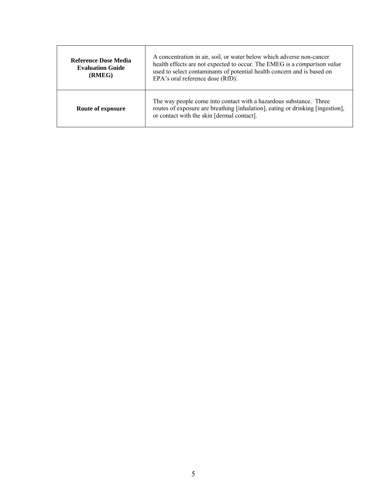| <b>Reference Dose Media</b><br><b>Evaluation Guide</b><br>(RMEG) | A concentration in air, soil, or water below which adverse non-cancer<br>health effects are not expected to occur. The EMEG is a <i>comparison value</i><br>used to select contaminants of potential health concern and is based on<br>EPA's oral reference dose (RfD). |
|------------------------------------------------------------------|-------------------------------------------------------------------------------------------------------------------------------------------------------------------------------------------------------------------------------------------------------------------------|
| Route of exposure                                                | The way people come into contact with a hazardous substance. Three<br>routes of exposure are breathing [inhalation], eating or drinking [ingestion],<br>or contact with the skin [dermal contact].                                                                      |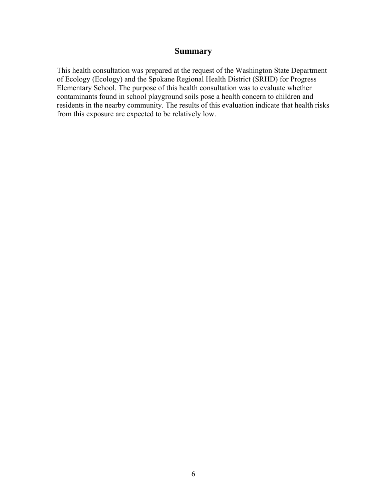#### **Summary**

This health consultation was prepared at the request of the Washington State Department of Ecology (Ecology) and the Spokane Regional Health District (SRHD) for Progress Elementary School. The purpose of this health consultation was to evaluate whether contaminants found in school playground soils pose a health concern to children and residents in the nearby community. The results of this evaluation indicate that health risks from this exposure are expected to be relatively low.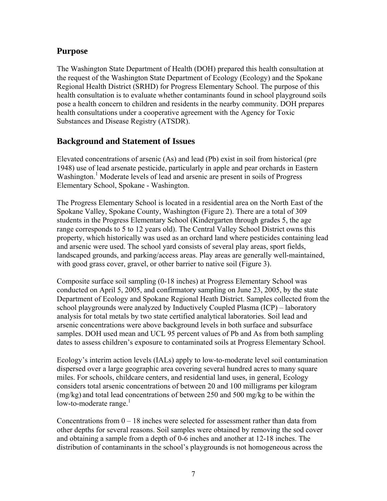## **Purpose**

The Washington State Department of Health (DOH) prepared this health consultation at the request of the Washington State Department of Ecology (Ecology) and the Spokane Regional Health District (SRHD) for Progress Elementary School. The purpose of this health consultation is to evaluate whether contaminants found in school playground soils pose a health concern to children and residents in the nearby community. DOH prepares health consultations under a cooperative agreement with the Agency for Toxic Substances and Disease Registry (ATSDR).

## **Background and Statement of Issues**

Elevated concentrations of arsenic (As) and lead (Pb) exist in soil from historical (pre 1948) use of lead arsenate pesticide, particularly in apple and pear orchards in Eastern Washington.<sup>1</sup> Moderate levels of lead and arsenic are present in soils of Progress Elementary School, Spokane - Washington.

The Progress Elementary School is located in a residential area on the North East of the Spokane Valley, Spokane County, Washington (Figure 2). There are a total of 309 students in the Progress Elementary School (Kindergarten through grades 5, the age range corresponds to 5 to 12 years old). The Central Valley School District owns this property, which historically was used as an orchard land where pesticides containing lead and arsenic were used. The school yard consists of several play areas, sport fields, landscaped grounds, and parking/access areas. Play areas are generally well-maintained, with good grass cover, gravel, or other barrier to native soil (Figure 3).

Composite surface soil sampling (0-18 inches) at Progress Elementary School was conducted on April 5, 2005, and confirmatory sampling on June 23, 2005, by the state Department of Ecology and Spokane Regional Heath District. Samples collected from the school playgrounds were analyzed by Inductively Coupled Plasma (ICP) – laboratory analysis for total metals by two state certified analytical laboratories. Soil lead and arsenic concentrations were above background levels in both surface and subsurface samples. DOH used mean and UCL 95 percent values of Pb and As from both sampling dates to assess children's exposure to contaminated soils at Progress Elementary School.

Ecology's interim action levels (IALs) apply to low-to-moderate level soil contamination dispersed over a large geographic area covering several hundred acres to many square miles. For schools, childcare centers, and residential land uses, in general, Ecology considers total arsenic concentrations of between 20 and 100 milligrams per kilogram (mg/kg) and total lead concentrations of between 250 and 500 mg/kg to be within the low-to-moderate range. $\frac{1}{1}$ 

Concentrations from  $0 - 18$  inches were selected for assessment rather than data from other depths for several reasons. Soil samples were obtained by removing the sod cover and obtaining a sample from a depth of 0-6 inches and another at 12-18 inches. The distribution of contaminants in the school's playgrounds is not homogeneous across the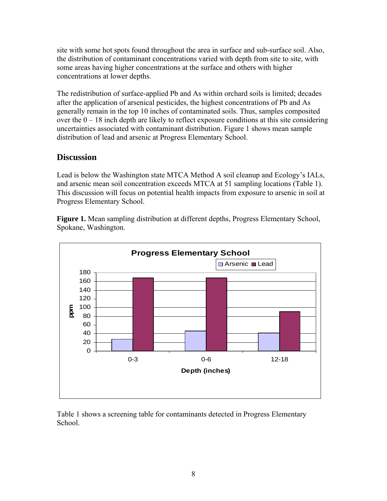site with some hot spots found throughout the area in surface and sub-surface soil. Also, the distribution of contaminant concentrations varied with depth from site to site, with some areas having higher concentrations at the surface and others with higher concentrations at lower depths.

The redistribution of surface-applied Pb and As within orchard soils is limited; decades after the application of arsenical pesticides, the highest concentrations of Pb and As generally remain in the top 10 inches of contaminated soils. Thus, samples composited over the  $0 - 18$  inch depth are likely to reflect exposure conditions at this site considering uncertainties associated with contaminant distribution. Figure 1 shows mean sample distribution of lead and arsenic at Progress Elementary School.

## **Discussion**

Lead is below the Washington state MTCA Method A soil cleanup and Ecology's IALs, and arsenic mean soil concentration exceeds MTCA at 51 sampling locations (Table 1). This discussion will focus on potential health impacts from exposure to arsenic in soil at Progress Elementary School.

**Figure 1.** Mean sampling distribution at different depths, Progress Elementary School, Spokane, Washington.



Table 1 shows a screening table for contaminants detected in Progress Elementary School.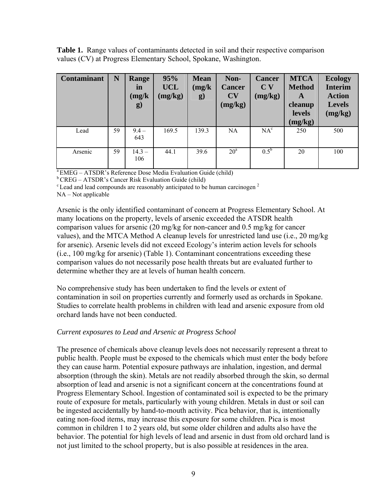**Table 1.** Range values of contaminants detected in soil and their respective comparison values (CV) at Progress Elementary School, Spokane, Washington.

| <b>Contaminant</b> | N  | <b>Range</b><br>in<br>(mg/k)<br>$\bf{g})$ | 95%<br><b>UCL</b><br>(mg/kg) | <b>Mean</b><br>(mg/k)<br>g) | Non-<br><b>Cancer</b><br>CV<br>(mg/kg) | <b>Cancer</b><br>C <sub>V</sub><br>(mg/kg) | <b>MTCA</b><br><b>Method</b><br>A<br>cleanup<br><b>levels</b><br>(mg/kg) | <b>Ecology</b><br><b>Interim</b><br><b>Action</b><br><b>Levels</b><br>(mg/kg) |
|--------------------|----|-------------------------------------------|------------------------------|-----------------------------|----------------------------------------|--------------------------------------------|--------------------------------------------------------------------------|-------------------------------------------------------------------------------|
| Lead               | 59 | $9.4 -$<br>643                            | 169.5                        | 139.3                       | <b>NA</b>                              | $NA^c$                                     | 250                                                                      | 500                                                                           |
| Arsenic            | 59 | $14.3 -$<br>106                           | 44.1                         | 39.6                        | $20^{\circ}$                           | $0.5^{\rm b}$                              | 20                                                                       | 100                                                                           |

a EMEG – ATSDR's Reference Dose Media Evaluation Guide (child)

b CREG – ATSDR's Cancer Risk Evaluation Guide (child)

 $\degree$  Lead and lead compounds are reasonably anticipated to be human carcinogen  $\degree$ 

NA – Not applicable

Arsenic is the only identified contaminant of concern at Progress Elementary School. At many locations on the property, levels of arsenic exceeded the ATSDR health comparison values for arsenic (20 mg/kg for non-cancer and 0.5 mg/kg for cancer values), and the MTCA Method A cleanup levels for unrestricted land use (i.e., 20 mg/kg for arsenic). Arsenic levels did not exceed Ecology's interim action levels for schools (i.e., 100 mg/kg for arsenic) (Table 1). Contaminant concentrations exceeding these comparison values do not necessarily pose health threats but are evaluated further to determine whether they are at levels of human health concern.

No comprehensive study has been undertaken to find the levels or extent of contamination in soil on properties currently and formerly used as orchards in Spokane. Studies to correlate health problems in children with lead and arsenic exposure from old orchard lands have not been conducted.

#### *Current exposures to Lead and Arsenic at Progress School*

The presence of chemicals above cleanup levels does not necessarily represent a threat to public health. People must be exposed to the chemicals which must enter the body before they can cause harm. Potential exposure pathways are inhalation, ingestion, and dermal absorption (through the skin). Metals are not readily absorbed through the skin, so dermal absorption of lead and arsenic is not a significant concern at the concentrations found at Progress Elementary School. Ingestion of contaminated soil is expected to be the primary route of exposure for metals, particularly with young children. Metals in dust or soil can be ingested accidentally by hand-to-mouth activity. Pica behavior, that is, intentionally eating non-food items, may increase this exposure for some children. Pica is most common in children 1 to 2 years old, but some older children and adults also have the behavior. The potential for high levels of lead and arsenic in dust from old orchard land is not just limited to the school property, but is also possible at residences in the area.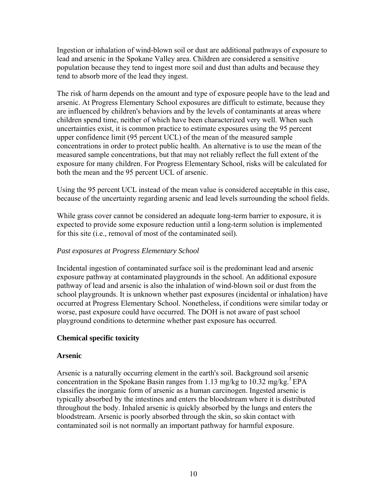Ingestion or inhalation of wind-blown soil or dust are additional pathways of exposure to lead and arsenic in the Spokane Valley area. Children are considered a sensitive population because they tend to ingest more soil and dust than adults and because they tend to absorb more of the lead they ingest.

The risk of harm depends on the amount and type of exposure people have to the lead and arsenic. At Progress Elementary School exposures are difficult to estimate, because they are influenced by children's behaviors and by the levels of contaminants at areas where children spend time, neither of which have been characterized very well. When such uncertainties exist, it is common practice to estimate exposures using the 95 percent upper confidence limit (95 percent UCL) of the mean of the measured sample concentrations in order to protect public health. An alternative is to use the mean of the measured sample concentrations, but that may not reliably reflect the full extent of the exposure for many children. For Progress Elementary School, risks will be calculated for both the mean and the 95 percent UCL of arsenic.

Using the 95 percent UCL instead of the mean value is considered acceptable in this case, because of the uncertainty regarding arsenic and lead levels surrounding the school fields.

While grass cover cannot be considered an adequate long-term barrier to exposure, it is expected to provide some exposure reduction until a long-term solution is implemented for this site (i.e., removal of most of the contaminated soil).

#### *Past exposures at Progress Elementary School*

Incidental ingestion of contaminated surface soil is the predominant lead and arsenic exposure pathway at contaminated playgrounds in the school. An additional exposure pathway of lead and arsenic is also the inhalation of wind-blown soil or dust from the school playgrounds. It is unknown whether past exposures (incidental or inhalation) have occurred at Progress Elementary School. Nonetheless, if conditions were similar today or worse, past exposure could have occurred. The DOH is not aware of past school playground conditions to determine whether past exposure has occurred.

#### **Chemical specific toxicity**

#### **Arsenic**

Arsenic is a naturally occurring element in the earth's soil. Background soil arsenic concentration in the Spokane Basin ranges from 1.13 mg/kg to 10.32 mg/kg.<sup>3</sup> EPA classifies the inorganic form of arsenic as a human carcinogen. Ingested arsenic is typically absorbed by the intestines and enters the bloodstream where it is distributed throughout the body. Inhaled arsenic is quickly absorbed by the lungs and enters the bloodstream. Arsenic is poorly absorbed through the skin, so skin contact with contaminated soil is not normally an important pathway for harmful exposure.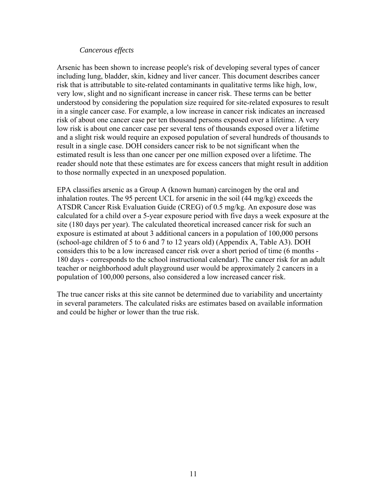#### *Cancerous effects*

Arsenic has been shown to increase people's risk of developing several types of cancer including lung, bladder, skin, kidney and liver cancer. This document describes cancer risk that is attributable to site-related contaminants in qualitative terms like high, low, very low, slight and no significant increase in cancer risk. These terms can be better understood by considering the population size required for site-related exposures to result in a single cancer case. For example, a low increase in cancer risk indicates an increased risk of about one cancer case per ten thousand persons exposed over a lifetime. A very low risk is about one cancer case per several tens of thousands exposed over a lifetime and a slight risk would require an exposed population of several hundreds of thousands to result in a single case. DOH considers cancer risk to be not significant when the estimated result is less than one cancer per one million exposed over a lifetime. The reader should note that these estimates are for excess cancers that might result in addition to those normally expected in an unexposed population.

EPA classifies arsenic as a Group A (known human) carcinogen by the oral and inhalation routes. The 95 percent UCL for arsenic in the soil (44 mg/kg) exceeds the ATSDR Cancer Risk Evaluation Guide (CREG) of 0.5 mg/kg. An exposure dose was calculated for a child over a 5-year exposure period with five days a week exposure at the site (180 days per year). The calculated theoretical increased cancer risk for such an exposure is estimated at about 3 additional cancers in a population of 100,000 persons (school-age children of 5 to 6 and 7 to 12 years old) (Appendix A, Table A3). DOH considers this to be a low increased cancer risk over a short period of time (6 months - 180 days - corresponds to the school instructional calendar). The cancer risk for an adult teacher or neighborhood adult playground user would be approximately 2 cancers in a population of 100,000 persons, also considered a low increased cancer risk.

The true cancer risks at this site cannot be determined due to variability and uncertainty in several parameters. The calculated risks are estimates based on available information and could be higher or lower than the true risk.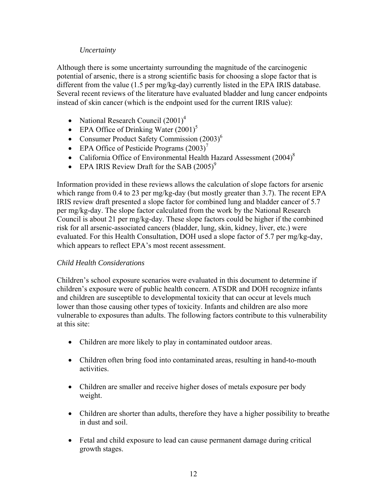#### *Uncertainty*

Although there is some uncertainty surrounding the magnitude of the carcinogenic potential of arsenic, there is a strong scientific basis for choosing a slope factor that is different from the value (1.5 per mg/kg-day) currently listed in the EPA IRIS database. Several recent reviews of the literature have evaluated bladder and lung cancer endpoints instead of skin cancer (which is the endpoint used for the current IRIS value):

- National Research Council  $(2001)^4$
- EPA Office of Drinking Water  $(2001)^5$
- Consumer Product Safety Commission (2003)<sup>6</sup>
- EPA Office of Pesticide Programs  $(2003)^7$
- California Office of Environmental Health Hazard Assessment  $(2004)^8$
- EPA IRIS Review Draft for the SAB  $(2005)^9$

Information provided in these reviews allows the calculation of slope factors for arsenic which range from 0.4 to 23 per mg/kg-day (but mostly greater than 3.7). The recent EPA IRIS review draft presented a slope factor for combined lung and bladder cancer of 5.7 per mg/kg-day. The slope factor calculated from the work by the National Research Council is about 21 per mg/kg-day. These slope factors could be higher if the combined risk for all arsenic-associated cancers (bladder, lung, skin, kidney, liver, etc.) were evaluated. For this Health Consultation, DOH used a slope factor of 5.7 per mg/kg-day, which appears to reflect EPA's most recent assessment.

#### *Child Health Considerations*

Children's school exposure scenarios were evaluated in this document to determine if children's exposure were of public health concern. ATSDR and DOH recognize infants and children are susceptible to developmental toxicity that can occur at levels much lower than those causing other types of toxicity. Infants and children are also more vulnerable to exposures than adults. The following factors contribute to this vulnerability at this site:

- Children are more likely to play in contaminated outdoor areas.
- Children often bring food into contaminated areas, resulting in hand-to-mouth activities.
- Children are smaller and receive higher doses of metals exposure per body weight.
- Children are shorter than adults, therefore they have a higher possibility to breathe in dust and soil.
- Fetal and child exposure to lead can cause permanent damage during critical growth stages.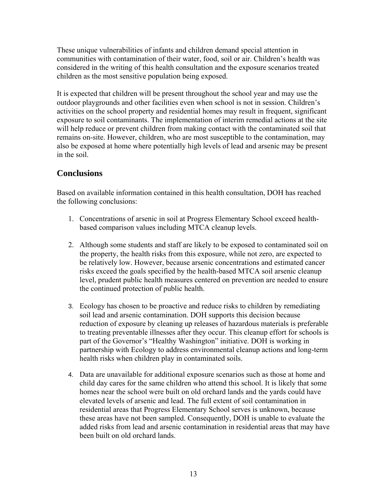These unique vulnerabilities of infants and children demand special attention in communities with contamination of their water, food, soil or air. Children's health was considered in the writing of this health consultation and the exposure scenarios treated children as the most sensitive population being exposed.

It is expected that children will be present throughout the school year and may use the outdoor playgrounds and other facilities even when school is not in session. Children's activities on the school property and residential homes may result in frequent, significant exposure to soil contaminants. The implementation of interim remedial actions at the site will help reduce or prevent children from making contact with the contaminated soil that remains on-site. However, children, who are most susceptible to the contamination, may also be exposed at home where potentially high levels of lead and arsenic may be present in the soil.

## **Conclusions**

Based on available information contained in this health consultation, DOH has reached the following conclusions:

- 1. Concentrations of arsenic in soil at Progress Elementary School exceed healthbased comparison values including MTCA cleanup levels.
- 2. Although some students and staff are likely to be exposed to contaminated soil on the property, the health risks from this exposure, while not zero, are expected to be relatively low. However, because arsenic concentrations and estimated cancer risks exceed the goals specified by the health-based MTCA soil arsenic cleanup level, prudent public health measures centered on prevention are needed to ensure the continued protection of public health.
- 3. Ecology has chosen to be proactive and reduce risks to children by remediating soil lead and arsenic contamination. DOH supports this decision because reduction of exposure by cleaning up releases of hazardous materials is preferable to treating preventable illnesses after they occur. This cleanup effort for schools is part of the Governor's "Healthy Washington" initiative. DOH is working in partnership with Ecology to address environmental cleanup actions and long-term health risks when children play in contaminated soils.
- 4. Data are unavailable for additional exposure scenarios such as those at home and child day cares for the same children who attend this school. It is likely that some homes near the school were built on old orchard lands and the yards could have elevated levels of arsenic and lead. The full extent of soil contamination in residential areas that Progress Elementary School serves is unknown, because these areas have not been sampled. Consequently, DOH is unable to evaluate the added risks from lead and arsenic contamination in residential areas that may have been built on old orchard lands.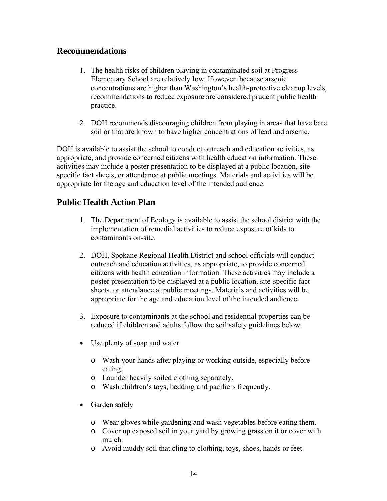## **Recommendations**

- 1. The health risks of children playing in contaminated soil at Progress Elementary School are relatively low. However, because arsenic concentrations are higher than Washington's health-protective cleanup levels, recommendations to reduce exposure are considered prudent public health practice.
- 2. DOH recommends discouraging children from playing in areas that have bare soil or that are known to have higher concentrations of lead and arsenic.

DOH is available to assist the school to conduct outreach and education activities, as appropriate, and provide concerned citizens with health education information. These activities may include a poster presentation to be displayed at a public location, sitespecific fact sheets, or attendance at public meetings. Materials and activities will be appropriate for the age and education level of the intended audience.

## **Public Health Action Plan**

- 1. The Department of Ecology is available to assist the school district with the implementation of remedial activities to reduce exposure of kids to contaminants on-site.
- 2. DOH, Spokane Regional Health District and school officials will conduct outreach and education activities, as appropriate, to provide concerned citizens with health education information. These activities may include a poster presentation to be displayed at a public location, site-specific fact sheets, or attendance at public meetings. Materials and activities will be appropriate for the age and education level of the intended audience.
- 3. Exposure to contaminants at the school and residential properties can be reduced if children and adults follow the soil safety guidelines below.
- Use plenty of soap and water
	- o Wash your hands after playing or working outside, especially before eating.
	- o Launder heavily soiled clothing separately.
	- o Wash children's toys, bedding and pacifiers frequently.
- Garden safely
	- o Wear gloves while gardening and wash vegetables before eating them.
	- o Cover up exposed soil in your yard by growing grass on it or cover with mulch.
	- o Avoid muddy soil that cling to clothing, toys, shoes, hands or feet.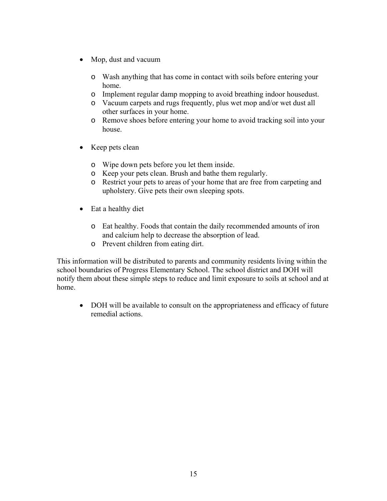- Mop, dust and vacuum
	- o Wash anything that has come in contact with soils before entering your home.
	- o Implement regular damp mopping to avoid breathing indoor housedust.
	- o Vacuum carpets and rugs frequently, plus wet mop and/or wet dust all other surfaces in your home.
	- o Remove shoes before entering your home to avoid tracking soil into your house.
- Keep pets clean
	- o Wipe down pets before you let them inside.
	- o Keep your pets clean. Brush and bathe them regularly.
	- o Restrict your pets to areas of your home that are free from carpeting and upholstery. Give pets their own sleeping spots.
- Eat a healthy diet
	- o Eat healthy. Foods that contain the daily recommended amounts of iron and calcium help to decrease the absorption of lead.
	- o Prevent children from eating dirt.

This information will be distributed to parents and community residents living within the school boundaries of Progress Elementary School. The school district and DOH will notify them about these simple steps to reduce and limit exposure to soils at school and at home.

• DOH will be available to consult on the appropriateness and efficacy of future remedial actions.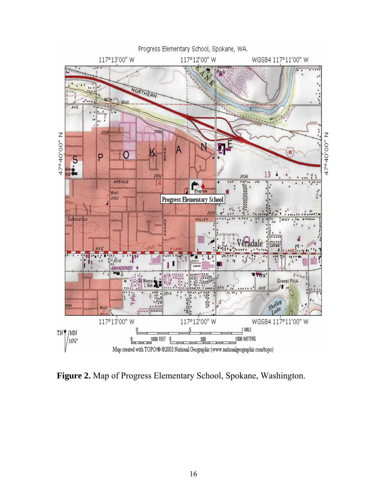

**Figure 2.** Map of Progress Elementary School, Spokane, Washington.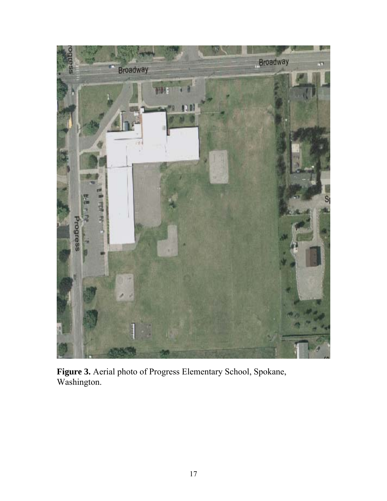

**Figure 3.** Aerial photo of Progress Elementary School, Spokane, Washington.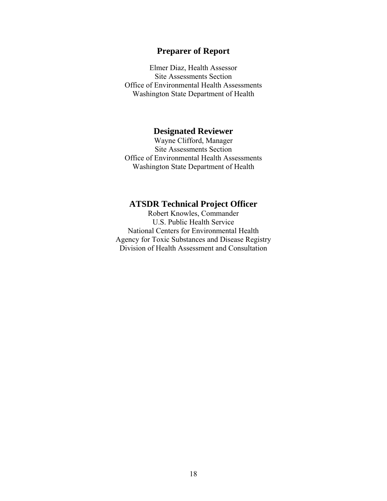## **Preparer of Report**

Elmer Diaz, Health Assessor Site Assessments Section Office of Environmental Health Assessments Washington State Department of Health

#### **Designated Reviewer**

Wayne Clifford, Manager Site Assessments Section Office of Environmental Health Assessments Washington State Department of Health

#### **ATSDR Technical Project Officer**

Robert Knowles, Commander U.S. Public Health Service National Centers for Environmental Health Agency for Toxic Substances and Disease Registry Division of Health Assessment and Consultation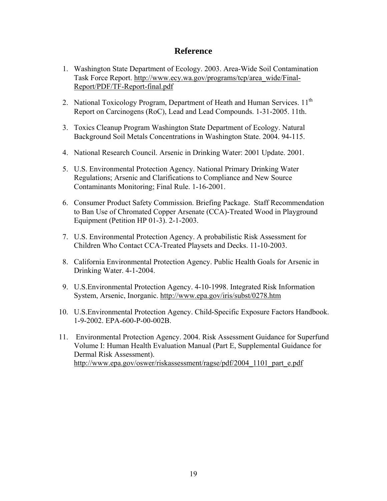#### **Reference**

- 1. Washington State Department of Ecology. 2003. Area-Wide Soil Contamination Task Force Report. http://www.ecy.wa.gov/programs/tcp/area\_wide/Final-Report/PDF/TF-Report-final.pdf
- 2. National Toxicology Program, Department of Heath and Human Services. 11<sup>th</sup> Report on Carcinogens (RoC), Lead and Lead Compounds. 1-31-2005. 11th.
- 3. Toxics Cleanup Program Washington State Department of Ecology. Natural Background Soil Metals Concentrations in Washington State. 2004. 94-115.
- 4. National Research Council. Arsenic in Drinking Water: 2001 Update. 2001.
- 5. U.S. Environmental Protection Agency. National Primary Drinking Water Regulations; Arsenic and Clarifications to Compliance and New Source Contaminants Monitoring; Final Rule. 1-16-2001.
- 6. Consumer Product Safety Commission. Briefing Package. Staff Recommendation to Ban Use of Chromated Copper Arsenate (CCA)-Treated Wood in Playground Equipment (Petition HP 01-3). 2-1-2003.
- 7. U.S. Environmental Protection Agency. A probabilistic Risk Assessment for Children Who Contact CCA-Treated Playsets and Decks. 11-10-2003.
- 8. California Environmental Protection Agency. Public Health Goals for Arsenic in Drinking Water. 4-1-2004.
- 9. U.S.Environmental Protection Agency. 4-10-1998. Integrated Risk Information System, Arsenic, Inorganic. http://www.epa.gov/iris/subst/0278.htm
- 10. U.S.Environmental Protection Agency. Child-Specific Exposure Factors Handbook. 1-9-2002. EPA-600-P-00-002B.
- 11. Environmental Protection Agency. 2004. Risk Assessment Guidance for Superfund Volume I: Human Health Evaluation Manual (Part E, Supplemental Guidance for Dermal Risk Assessment). http://www.epa.gov/oswer/riskassessment/ragse/pdf/2004\_1101\_part\_e.pdf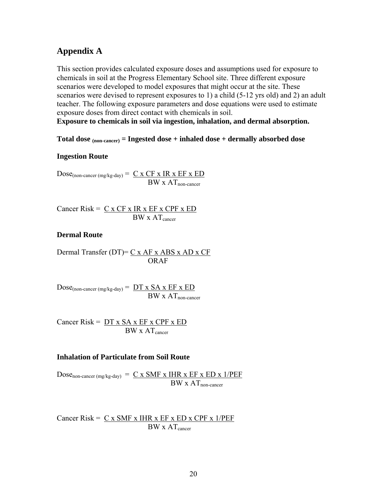#### **Appendix A**

This section provides calculated exposure doses and assumptions used for exposure to chemicals in soil at the Progress Elementary School site. Three different exposure scenarios were developed to model exposures that might occur at the site. These scenarios were devised to represent exposures to 1) a child (5-12 yrs old) and 2) an adult teacher. The following exposure parameters and dose equations were used to estimate exposure doses from direct contact with chemicals in soil.

**Exposure to chemicals in soil via ingestion, inhalation, and dermal absorption.** 

#### **Total dose (non-cancer) = Ingested dose + inhaled dose + dermally absorbed dose**

#### **Ingestion Route**

 $Dose_{(non\text{-}cancer \,(mg/kg\text{-}day))} = \underline{C \times CF \times IR \times EF \times ED}$  $BW \times AT_{non-cancer}$ 

Cancer Risk =  $C x CF x IR x EF x CPF x ED$  $BW \times AT_{\text{cancer}}$ 

#### **Dermal Route**

Dermal Transfer (DT)= C x AF x ABS x AD x CF ORAF

 $Dose_{(non-cancer (mg/kg-day))} = DT x SA x EF x ED$  $\overline{BW}$  x  $AT$ <sub>non-cancer</sub>

Cancer Risk =  $DT x SA x EF x CPF x ED$  $BW \times AT_{\text{cancer}}$ 

#### **Inhalation of Particulate from Soil Route**

Dose<sub>non-cancer (mg/kg-day)</sub> =  $C \times SMF \times HIR \times EF \times ED \times 1/PEF$  $BW \times AT_{non-cancer}$ 

Cancer Risk =  $C x$  SMF x IHR x EF x ED x CPF x 1/PEF  $BW \times AT_{cancer}$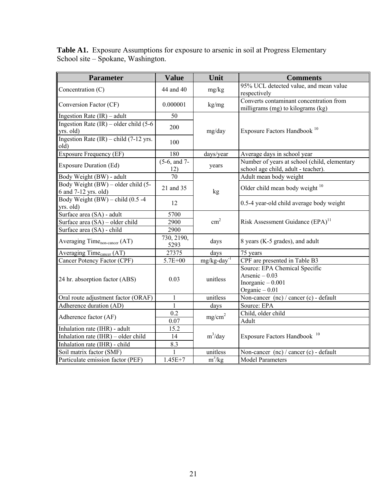| <b>Parameter</b>                                            | <b>Value</b>          | Unit                       | <b>Comments</b>                                                                          |  |
|-------------------------------------------------------------|-----------------------|----------------------------|------------------------------------------------------------------------------------------|--|
| Concentration (C)                                           | 44 and 40             | mg/kg                      | 95% UCL detected value, and mean value<br>respectively                                   |  |
| Conversion Factor (CF)                                      | 0.000001              | kg/mg                      | Converts contaminant concentration from<br>milligrams (mg) to kilograms (kg)             |  |
| Ingestion Rate $(IR)$ – adult                               | 50                    |                            |                                                                                          |  |
| Ingestion Rate $(IR)$ – older child $(5-6)$<br>yrs. old)    | 200                   | mg/day                     | Exposure Factors Handbook <sup>10</sup>                                                  |  |
| Ingestion Rate $(IR)$ – child $(7-12 \text{ yrs.})$<br>old) | 100                   |                            |                                                                                          |  |
| <b>Exposure Frequency (EF)</b>                              | 180                   | days/year                  | Average days in school year                                                              |  |
| <b>Exposure Duration (Ed)</b>                               | $(5-6, and 7-$<br>12) | years                      | Number of years at school (child, elementary<br>school age child, adult - teacher).      |  |
| Body Weight (BW) - adult                                    | 70                    |                            | Adult mean body weight                                                                   |  |
| Body Weight (BW) – older child (5-<br>6 and 7-12 yrs. old)  | 21 and 35             | kg                         | Older child mean body weight $10$                                                        |  |
| Body Weight $(BW)$ – child $(0.5 -4)$<br>yrs. old)          | 12                    |                            | 0.5-4 year-old child average body weight                                                 |  |
| Surface area (SA) - adult                                   | 5700                  |                            |                                                                                          |  |
| Surface area (SA) – older child                             | 2900                  | $\text{cm}^2$              | Risk Assessment Guidance (EPA) <sup>11</sup>                                             |  |
| Surface area (SA) - child                                   | 2900                  |                            |                                                                                          |  |
| Averaging Time <sub>non-cancer</sub> (AT)                   | 730, 2190,<br>5293    | days                       | 8 years (K-5 grades), and adult                                                          |  |
| Averaging Time <sub>cancer</sub> (AT)                       | 27375                 | days                       | 75 years                                                                                 |  |
| Cancer Potency Factor (CPF)                                 | 5.7E+00               | $mg/kg$ -day <sup>-1</sup> | CPF are presented in Table B3                                                            |  |
| 24 hr. absorption factor (ABS)                              | 0.03                  | unitless                   | Source: EPA Chemical Specific<br>Arsenic $-0.03$<br>Inorganic $-0.001$<br>Organic - 0.01 |  |
| Oral route adjustment factor (ORAF)                         | $\mathbf{1}$          | unitless                   | Non-cancer (nc) / cancer (c) - default                                                   |  |
| Adherence duration (AD)                                     | $\mathbf{1}$          | days                       | Source: EPA                                                                              |  |
| Adherence factor (AF)                                       | 0.2                   | mg/cm <sup>2</sup>         | Child, older child                                                                       |  |
|                                                             | 0.07                  |                            | Adult                                                                                    |  |
| Inhalation rate (IHR) - adult                               | 15.2                  |                            |                                                                                          |  |
| Inhalation rate $(IHR)$ – older child                       | 14                    | $m^3$ /day                 | Exposure Factors Handbook <sup>10</sup>                                                  |  |
| Inhalation rate (IHR) - child                               | 8.3                   |                            |                                                                                          |  |
| Soil matrix factor (SMF)                                    |                       | unitless                   | Non-cancer (nc) / cancer (c) - default                                                   |  |
| Particulate emission factor (PEF)                           | $1.45E + 7$           | $m^3/kg$                   | <b>Model Parameters</b>                                                                  |  |

**Table A1.** Exposure Assumptions for exposure to arsenic in soil at Progress Elementary School site – Spokane, Washington.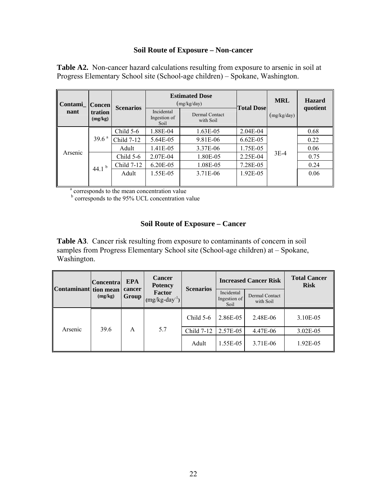#### **Soil Route of Exposure – Non-cancer**

**Table A2.** Non-cancer hazard calculations resulting from exposure to arsenic in soil at Progress Elementary School site (School-age children) – Spokane, Washington.

| Contami_ Concen | <b>tration</b><br>(mg/kg) | <b>Scenarios</b> |                                    | <b>Estimated Dose</b><br>(mg/kg/day) | <b>Total Dose</b> | <b>MRL</b>  | <b>Hazard</b> |      |
|-----------------|---------------------------|------------------|------------------------------------|--------------------------------------|-------------------|-------------|---------------|------|
| nant            |                           |                  | Incidental<br>Ingestion of<br>Soil | Dermal Contact<br>with Soil          |                   | (mg/kg/day) | quotient      |      |
|                 |                           | Child 5-6        | 1.88E-04                           | 1.63E-05                             | 2.04E-04          |             | 0.68          |      |
| Arsenic         | 39.6 <sup>a</sup>         | Child 7-12       | 5.64E-05                           | 9.81E-06                             | $6.62E-0.5$       |             | 0.22          |      |
|                 |                           | Adult            | 1.41E-05                           | 3.37E-06                             | 1.75E-05          |             | 0.06          |      |
|                 | 44.1 $^{\rm b}$           |                  | Child 5-6                          | 2.07E-04                             | 1.80E-05          | 2.25E-04    | $3E-4$        | 0.75 |
|                 |                           | Child 7-12       | 6.20E-05                           | 1.08E-05                             | 7.28E-05          |             | 0.24          |      |
|                 |                           | Adult            | 1.55E-05                           | 3.71E-06                             | 1.92E-05          |             | 0.06          |      |
|                 |                           |                  |                                    |                                      |                   |             |               |      |

<sup>a</sup> corresponds to the mean concentration value

**b** corresponds to the 95% UCL concentration value

#### **Soil Route of Exposure – Cancer**

**Table A3**. Cancer risk resulting from exposure to contaminants of concern in soil samples from Progress Elementary School site (School-age children) at – Spokane, Washington.

| Contaminant tion mean | Concentra | <b>EPA</b><br>cancer | <b>Cancer</b><br><b>Potency</b> | <b>Scenarios</b> |                                                                                                         |                | <b>Total Cancer</b><br><b>Risk</b> |
|-----------------------|-----------|----------------------|---------------------------------|------------------|---------------------------------------------------------------------------------------------------------|----------------|------------------------------------|
|                       | (mg/kg)   | Group                | Factor<br>$(mg/kg-day-1)$       |                  | <b>Increased Cancer Risk</b><br>Incidental<br>Ingestion of<br>with Soil<br>Soil<br>2.86E-05<br>2.57E-05 | Dermal Contact |                                    |
|                       |           |                      |                                 | Child $5-6$      |                                                                                                         | 2.48E-06       | 3.10E-05                           |
| Arsenic               | 39.6      | A                    | 5.7                             | Child 7-12       |                                                                                                         | 4.47E-06       | $3.02E-05$                         |
|                       |           |                      |                                 | Adult            | 1.55E-05                                                                                                | 3.71E-06       | 1.92E-05                           |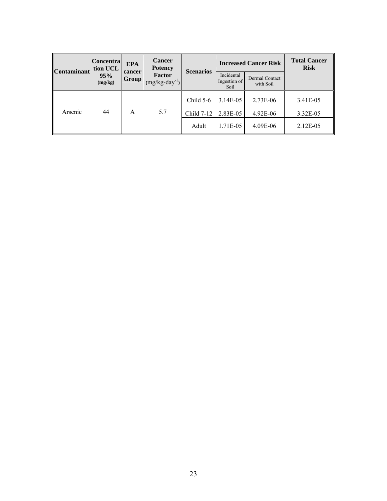| <b>Contaminant</b> | Concentra <br>tion UCL | <b>EPA</b><br>cancer | <b>Cancer</b><br><b>Potency</b> |                                                                                   |                             | <b>Increased Cancer Risk</b> | <b>Total Cancer</b><br><b>Risk</b> |
|--------------------|------------------------|----------------------|---------------------------------|-----------------------------------------------------------------------------------|-----------------------------|------------------------------|------------------------------------|
|                    | 95%<br>(mg/kg)         | <b>Group</b>         | Factor<br>$(mg/kg-day^{-1})$    | <b>Scenarios</b><br>Incidental<br>Ingestion of<br>Soil<br>3.14E-05<br>Child $5-6$ | Dermal Contact<br>with Soil |                              |                                    |
|                    |                        |                      |                                 |                                                                                   |                             | 2.73E-06                     | 3.41E-05                           |
| Arsenic            | 44                     | A                    | 5.7                             | Child 7-12                                                                        | 2.83E-05                    | 4.92E-06                     | 3.32E-05                           |
|                    |                        |                      |                                 | Adult                                                                             | 1.71E-05                    | 4.09E-06                     | 2.12E-05                           |